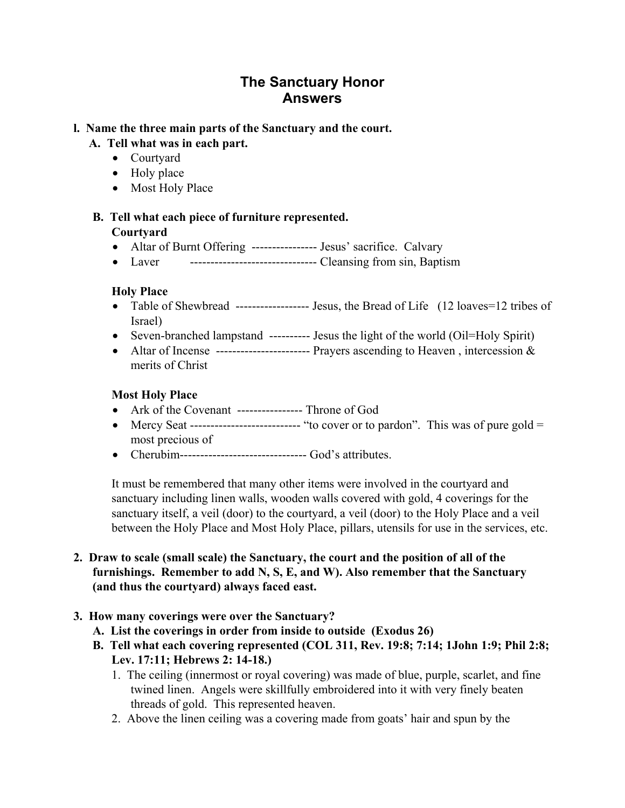# **The Sanctuary Honor Answers**

## **l. Name the three main parts of the Sanctuary and the court.**

## **A. Tell what was in each part.**

- Courtyard
- Holy place
- Most Holy Place

#### **B. Tell what each piece of furniture represented. Courtyard**

- Altar of Burnt Offering ---------------- Jesus' sacrifice. Calvary
- Laver ------------------------------- Cleansing from sin, Baptism

## **Holy Place**

- Table of Shewbread ------------------- Jesus, the Bread of Life (12 loaves=12 tribes of Israel)
- Seven-branched lampstand ---------- Jesus the light of the world (Oil=Holy Spirit)
- Altar of Incense ------------------------- Prayers ascending to Heaven, intercession & merits of Christ

## **Most Holy Place**

- Ark of the Covenant ---------------- Throne of God
- Mercy Seat ----------------------------- "to cover or to pardon". This was of pure gold  $=$ most precious of
- Cherubim------------------------------- God's attributes.

It must be remembered that many other items were involved in the courtyard and sanctuary including linen walls, wooden walls covered with gold, 4 coverings for the sanctuary itself, a veil (door) to the courtyard, a veil (door) to the Holy Place and a veil between the Holy Place and Most Holy Place, pillars, utensils for use in the services, etc.

## **2. Draw to scale (small scale) the Sanctuary, the court and the position of all of the furnishings. Remember to add N, S, E, and W). Also remember that the Sanctuary (and thus the courtyard) always faced east.**

# **3. How many coverings were over the Sanctuary?**

- **A. List the coverings in order from inside to outside (Exodus 26)**
- **B. Tell what each covering represented (COL 311, Rev. 19:8; 7:14; 1John 1:9; Phil 2:8; Lev. 17:11; Hebrews 2: 14-18.)** 
	- 1. The ceiling (innermost or royal covering) was made of blue, purple, scarlet, and fine twined linen. Angels were skillfully embroidered into it with very finely beaten threads of gold. This represented heaven.
	- 2. Above the linen ceiling was a covering made from goats' hair and spun by the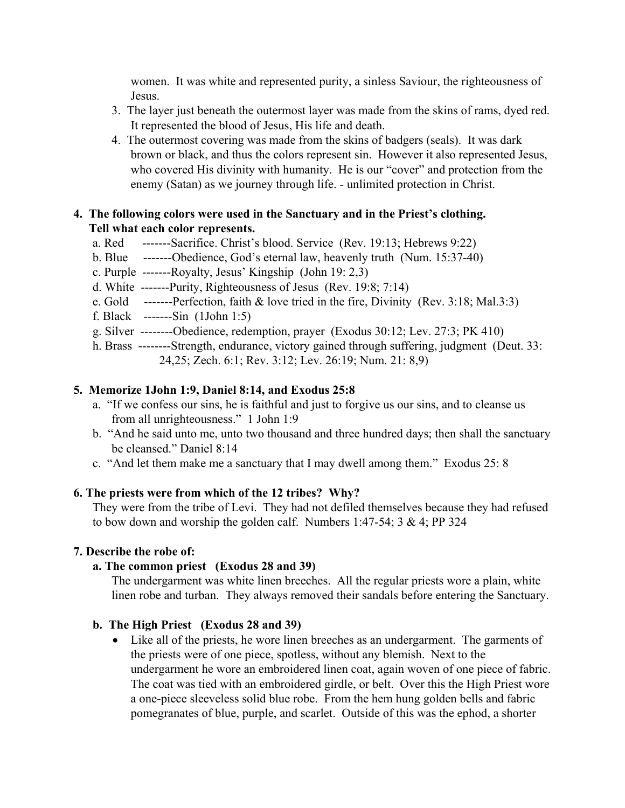women. It was white and represented purity, a sinless Saviour, the righteousness of Jesus.

- 3. The layer just beneath the outermost layer was made from the skins of rams, dyed red. It represented the blood of Jesus, His life and death.
- 4. The outermost covering was made from the skins of badgers (seals). It was dark brown or black, and thus the colors represent sin. However it also represented Jesus, who covered His divinity with humanity. He is our "cover" and protection from the enemy (Satan) as we journey through life. - unlimited protection in Christ.

## **4. The following colors were used in the Sanctuary and in the Priest's clothing. Tell what each color represents.**

- a. Red -------Sacrifice. Christ's blood. Service (Rev. 19:13; Hebrews 9:22)
- b. Blue -------Obedience, God's eternal law, heavenly truth (Num. 15:37-40)
- c. Purple -------Royalty, Jesus' Kingship (John 19: 2,3)
- d. White -------Purity, Righteousness of Jesus (Rev. 19:8; 7:14)
- e. Gold -------Perfection, faith & love tried in the fire, Divinity (Rev. 3:18; Mal.3:3)
- f. Black -------Sin (1John 1:5)
- g. Silver --------Obedience, redemption, prayer (Exodus 30:12; Lev. 27:3; PK 410)
- h. Brass --------Strength, endurance, victory gained through suffering, judgment (Deut. 33: 24,25; Zech. 6:1; Rev. 3:12; Lev. 26:19; Num. 21: 8,9)

## **5. Memorize 1John 1:9, Daniel 8:14, and Exodus 25:8**

- a. "If we confess our sins, he is faithful and just to forgive us our sins, and to cleanse us from all unrighteousness." 1 John 1:9
- b. "And he said unto me, unto two thousand and three hundred days; then shall the sanctuary be cleansed." Daniel 8:14
- c. "And let them make me a sanctuary that I may dwell among them." Exodus 25: 8

## **6. The priests were from which of the 12 tribes? Why?**

They were from the tribe of Levi. They had not defiled themselves because they had refused to bow down and worship the golden calf. Numbers 1:47-54; 3 & 4; PP 324

#### **7. Describe the robe of:**

#### **a. The common priest (Exodus 28 and 39)**

The undergarment was white linen breeches. All the regular priests wore a plain, white linen robe and turban. They always removed their sandals before entering the Sanctuary.

## **b. The High Priest (Exodus 28 and 39)**

• Like all of the priests, he wore linen breeches as an undergarment. The garments of the priests were of one piece, spotless, without any blemish. Next to the undergarment he wore an embroidered linen coat, again woven of one piece of fabric. The coat was tied with an embroidered girdle, or belt. Over this the High Priest wore a one-piece sleeveless solid blue robe. From the hem hung golden bells and fabric pomegranates of blue, purple, and scarlet. Outside of this was the ephod, a shorter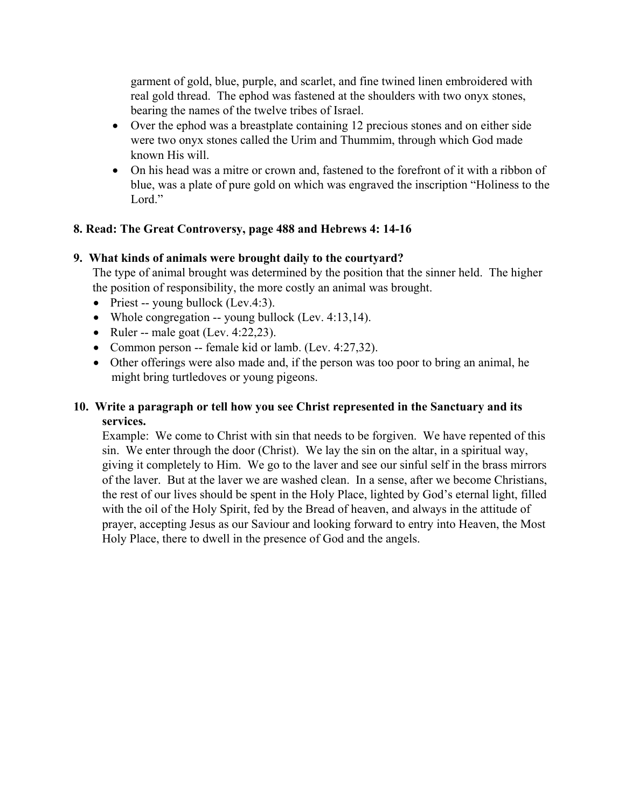garment of gold, blue, purple, and scarlet, and fine twined linen embroidered with real gold thread. The ephod was fastened at the shoulders with two onyx stones, bearing the names of the twelve tribes of Israel.

- Over the ephod was a breastplate containing 12 precious stones and on either side were two onyx stones called the Urim and Thummim, through which God made known His will.
- On his head was a mitre or crown and, fastened to the forefront of it with a ribbon of blue, was a plate of pure gold on which was engraved the inscription "Holiness to the Lord."

#### **8. Read: The Great Controversy, page 488 and Hebrews 4: 14-16**

#### **9. What kinds of animals were brought daily to the courtyard?**

The type of animal brought was determined by the position that the sinner held. The higher the position of responsibility, the more costly an animal was brought.

- Priest -- young bullock (Lev.4:3).
- Whole congregation -- young bullock (Lev. 4:13,14).
- Ruler -- male goat (Lev.  $4:22,23$ ).
- Common person -- female kid or lamb. (Lev. 4:27,32).
- Other offerings were also made and, if the person was too poor to bring an animal, he might bring turtledoves or young pigeons.

# **10. Write a paragraph or tell how you see Christ represented in the Sanctuary and its services.**

Example: We come to Christ with sin that needs to be forgiven. We have repented of this sin. We enter through the door (Christ). We lay the sin on the altar, in a spiritual way, giving it completely to Him. We go to the laver and see our sinful self in the brass mirrors of the laver. But at the laver we are washed clean. In a sense, after we become Christians, the rest of our lives should be spent in the Holy Place, lighted by God's eternal light, filled with the oil of the Holy Spirit, fed by the Bread of heaven, and always in the attitude of prayer, accepting Jesus as our Saviour and looking forward to entry into Heaven, the Most Holy Place, there to dwell in the presence of God and the angels.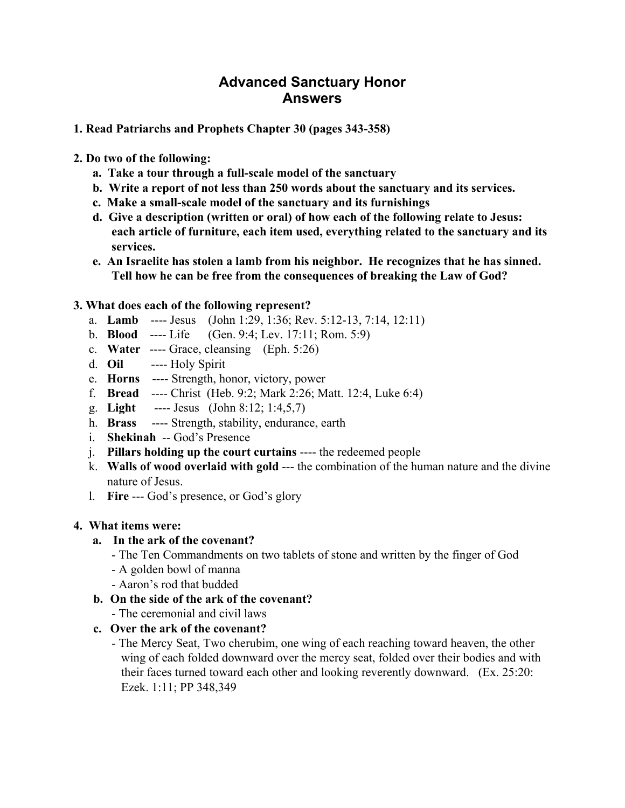# **Advanced Sanctuary Honor Answers**

#### **1. Read Patriarchs and Prophets Chapter 30 (pages 343-358)**

- **2. Do two of the following:** 
	- **a. Take a tour through a full-scale model of the sanctuary**
	- **b. Write a report of not less than 250 words about the sanctuary and its services.**
	- **c. Make a small-scale model of the sanctuary and its furnishings**
	- **d. Give a description (written or oral) of how each of the following relate to Jesus: each article of furniture, each item used, everything related to the sanctuary and its services.**
	- **e. An Israelite has stolen a lamb from his neighbor. He recognizes that he has sinned. Tell how he can be free from the consequences of breaking the Law of God?**

## **3. What does each of the following represent?**

- a. **Lamb** ---- Jesus (John 1:29, 1:36; Rev. 5:12-13, 7:14, 12:11)
- b. **Blood** ---- Life (Gen. 9:4; Lev. 17:11; Rom. 5:9)
- c. **Water** ---- Grace, cleansing (Eph. 5:26)
- d. **Oil** ---- Holy Spirit
- e. **Horns** ---- Strength, honor, victory, power
- f. **Bread** ---- Christ (Heb. 9:2; Mark 2:26; Matt. 12:4, Luke 6:4)
- g. **Light** ---- Jesus (John 8:12; 1:4,5,7)
- h. **Brass** ---- Strength, stability, endurance, earth
- i. **Shekinah** -- God's Presence
- j. **Pillars holding up the court curtains** ---- the redeemed people
- k. **Walls of wood overlaid with gold** --- the combination of the human nature and the divine nature of Jesus.
- l. **Fire** --- God's presence, or God's glory

#### **4. What items were:**

#### **a. In the ark of the covenant?**

- The Ten Commandments on two tablets of stone and written by the finger of God
- A golden bowl of manna
- Aaron's rod that budded
- **b. On the side of the ark of the covenant?** 
	- The ceremonial and civil laws

## **c. Over the ark of the covenant?**

- The Mercy Seat, Two cherubim, one wing of each reaching toward heaven, the other wing of each folded downward over the mercy seat, folded over their bodies and with their faces turned toward each other and looking reverently downward. (Ex. 25:20: Ezek. 1:11; PP 348,349